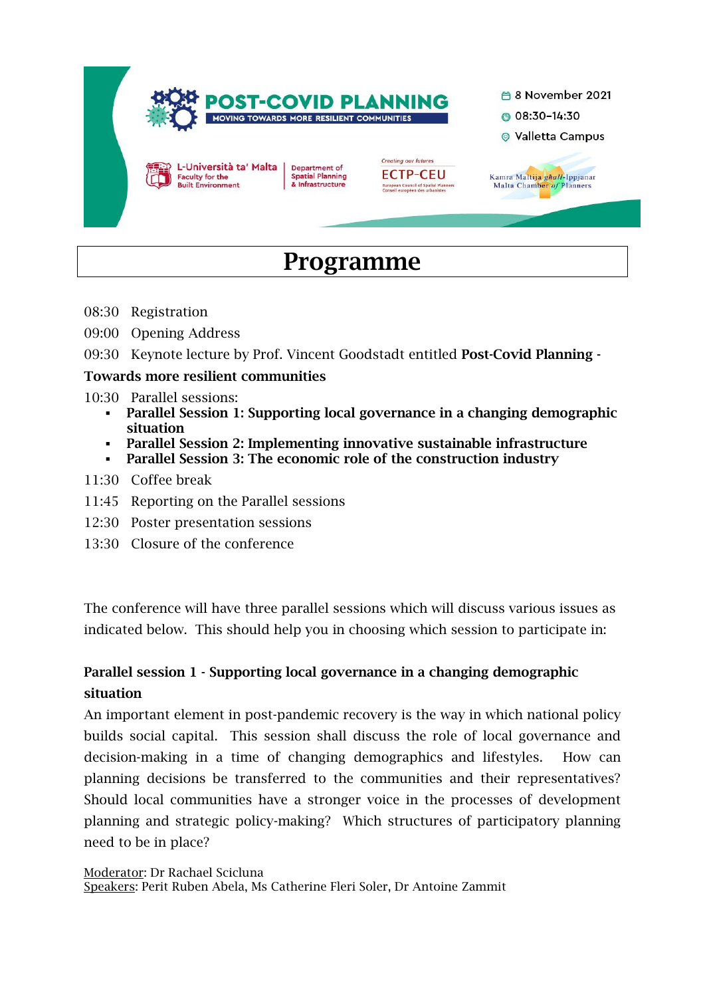

# Programme

- 08:30 Registration
- 09:00 Opening Address
- 09:30 Keynote lecture by Prof. Vincent Goodstadt entitled Post-Covid Planning -

### Towards more resilient communities

- 10:30 Parallel sessions:
	- Parallel Session 1: Supporting local governance in a changing demographic situation
	- Parallel Session 2: Implementing innovative sustainable infrastructure
	- Parallel Session 3: The economic role of the construction industry
- 11:30 Coffee break
- 11:45 Reporting on the Parallel sessions
- 12:30 Poster presentation sessions
- 13:30 Closure of the conference

The conference will have three parallel sessions which will discuss various issues as indicated below. This should help you in choosing which session to participate in:

## Parallel session 1 - Supporting local governance in a changing demographic situation

An important element in post-pandemic recovery is the way in which national policy builds social capital. This session shall discuss the role of local governance and decision-making in a time of changing demographics and lifestyles. How can planning decisions be transferred to the communities and their representatives? Should local communities have a stronger voice in the processes of development planning and strategic policy-making? Which structures of participatory planning need to be in place?

Moderator: Dr Rachael Scicluna Speakers: Perit Ruben Abela, Ms Catherine Fleri Soler, Dr Antoine Zammit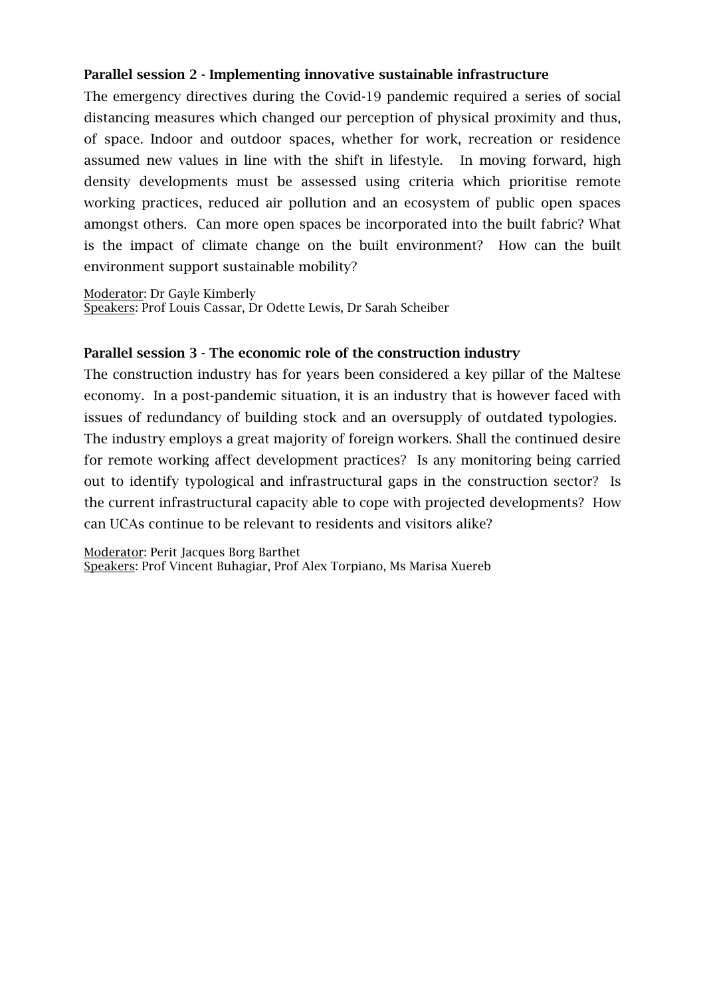## Parallel session 2 - Implementing innovative sustainable infrastructure

The emergency directives during the Covid-19 pandemic required a series of social distancing measures which changed our perception of physical proximity and thus, of space. Indoor and outdoor spaces, whether for work, recreation or residence assumed new values in line with the shift in lifestyle. In moving forward, high density developments must be assessed using criteria which prioritise remote working practices, reduced air pollution and an ecosystem of public open spaces amongst others. Can more open spaces be incorporated into the built fabric? What is the impact of climate change on the built environment? How can the built environment support sustainable mobility?

Moderator: Dr Gayle Kimberly Speakers: Prof Louis Cassar, Dr Odette Lewis, Dr Sarah Scheiber

### Parallel session 3 - The economic role of the construction industry

The construction industry has for years been considered a key pillar of the Maltese economy. In a post-pandemic situation, it is an industry that is however faced with issues of redundancy of building stock and an oversupply of outdated typologies. The industry employs a great majority of foreign workers. Shall the continued desire for remote working affect development practices? Is any monitoring being carried out to identify typological and infrastructural gaps in the construction sector? Is the current infrastructural capacity able to cope with projected developments? How can UCAs continue to be relevant to residents and visitors alike?

Moderator: Perit Jacques Borg Barthet Speakers: Prof Vincent Buhagiar, Prof Alex Torpiano, Ms Marisa Xuereb